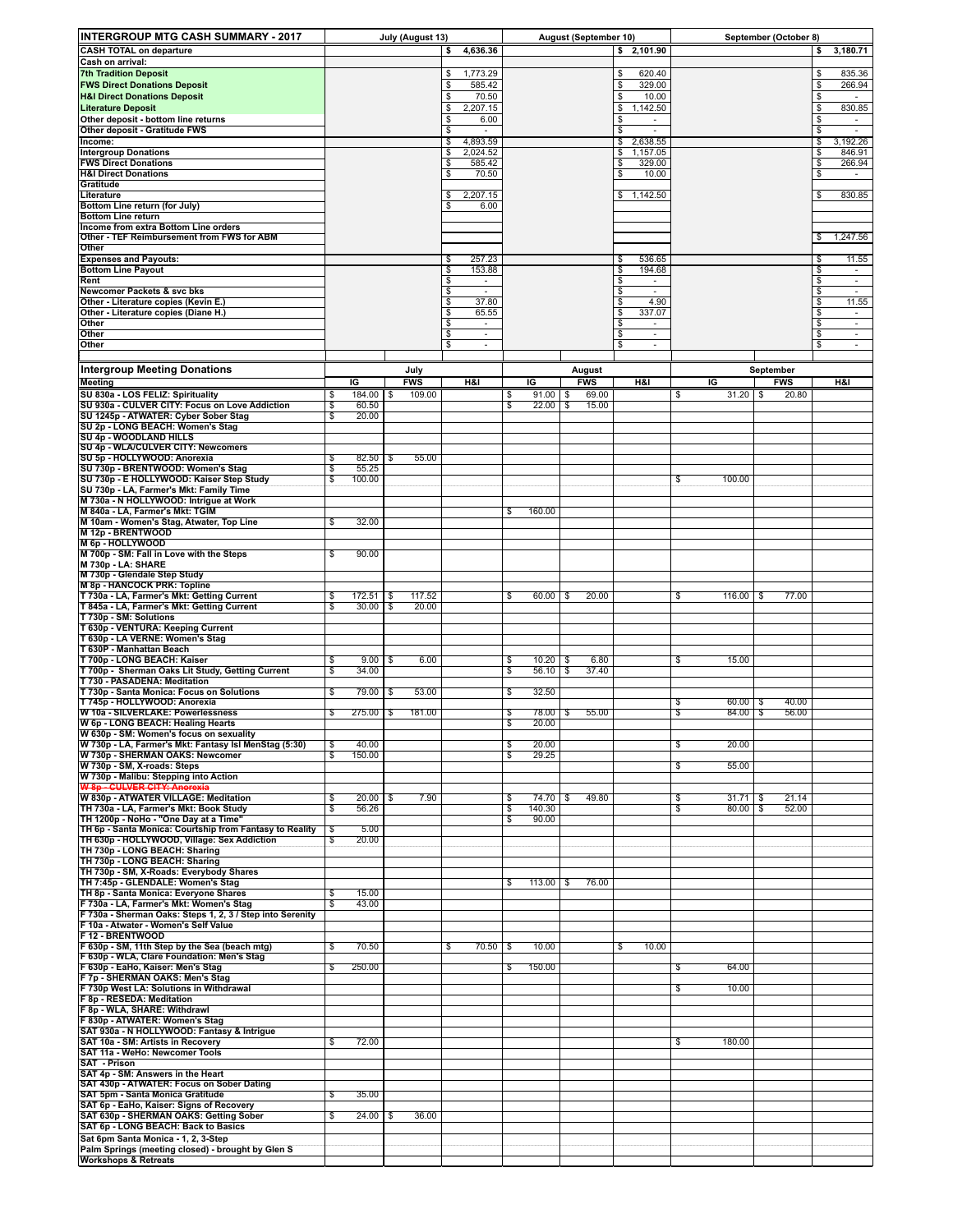| <b>INTERGROUP MTG CASH SUMMARY - 2017</b>                                                                               |                                   | July (August 13) |                                           |                         | August (September 10) |            |               | September (October 8)          |                                  |                                   |                    |
|-------------------------------------------------------------------------------------------------------------------------|-----------------------------------|------------------|-------------------------------------------|-------------------------|-----------------------|------------|---------------|--------------------------------|----------------------------------|-----------------------------------|--------------------|
| <b>CASH TOTAL on departure</b>                                                                                          |                                   |                  | 4,636.36<br>\$                            |                         |                       |            |               | 2,101.90<br>\$                 |                                  |                                   | 3,180.71<br>\$     |
| Cash on arrival:                                                                                                        |                                   |                  |                                           |                         |                       |            |               |                                |                                  |                                   |                    |
| <b>7th Tradition Deposit</b>                                                                                            |                                   |                  | 1,773.29<br>\$                            |                         |                       |            |               | 620.40<br>\$                   |                                  |                                   | 835.36<br>\$       |
| <b>FWS Direct Donations Deposit</b>                                                                                     |                                   |                  | \$<br>585.42                              |                         |                       |            |               | \$<br>329.00                   |                                  |                                   | S<br>266.94        |
| <b>H&amp;I Direct Donations Deposit</b><br><b>Literature Deposit</b>                                                    |                                   |                  | \$<br>70.50<br>2,207.15<br>\$             |                         |                       |            |               | \$<br>10.00<br>\$<br>1,142.50  |                                  |                                   | \$<br>\$<br>830.85 |
| Other deposit - bottom line returns                                                                                     |                                   |                  | \$<br>6.00                                |                         |                       |            |               | \$<br>$\overline{\phantom{a}}$ |                                  |                                   | \$<br>$\sim$       |
| <b>Other deposit - Gratitude FWS</b>                                                                                    |                                   |                  | \$<br>$\overline{\phantom{a}}$            |                         |                       |            |               | S<br>$\sim$                    |                                  |                                   | \$<br>$\sim$       |
| Income:                                                                                                                 |                                   |                  | 4,893.59<br>\$                            |                         |                       |            |               | \$<br>2,638.55                 |                                  |                                   | \$<br>3,192.26     |
| <b>Intergroup Donations</b>                                                                                             |                                   |                  | \$<br>2,024.52                            |                         |                       |            |               | 1,157.05<br>\$                 |                                  |                                   | \$<br>846.91       |
| <b>FWS Direct Donations</b><br><b>H&amp;I Direct Donations</b>                                                          |                                   |                  | \$<br>585.42<br>\$<br>70.50               |                         |                       |            |               | \$<br>329.00<br>\$<br>10.00    |                                  |                                   | \$<br>266.94<br>\$ |
| Gratitude                                                                                                               |                                   |                  |                                           |                         |                       |            |               |                                |                                  |                                   |                    |
| Literature                                                                                                              |                                   |                  | 2,207.15<br>\$                            |                         |                       |            |               | \$1,142.50                     |                                  |                                   | 830.85<br>\$       |
| <b>Bottom Line return (for July)</b><br><b>Bottom Line return</b>                                                       |                                   |                  | 6.00                                      |                         |                       |            |               |                                |                                  |                                   |                    |
| Income from extra Bottom Line orders                                                                                    |                                   |                  |                                           |                         |                       |            |               |                                |                                  |                                   |                    |
| Other - TEF Reimbursement from FWS for ABM                                                                              |                                   |                  |                                           |                         |                       |            |               |                                |                                  |                                   | 1,247.56<br>\$     |
| Other                                                                                                                   |                                   |                  |                                           |                         |                       |            |               |                                |                                  |                                   |                    |
| <b>Expenses and Payouts:</b>                                                                                            |                                   |                  | 257.23<br>- 5                             |                         |                       |            |               | 536.65<br>S                    |                                  |                                   | 11.55<br>\$        |
| <b>Bottom Line Payout</b><br>Rent                                                                                       |                                   |                  | \$<br>153.88<br>\$                        |                         |                       |            |               | \$<br>194.68<br>\$             |                                  |                                   | \$<br>\$           |
| <b>Newcomer Packets &amp; svc bks</b>                                                                                   |                                   |                  | $\overline{\mathbb{S}}$                   |                         |                       |            |               | \$                             |                                  |                                   | $\sqrt{3}$         |
| Other - Literature copies (Kevin E.)                                                                                    |                                   |                  | \$<br>37.80                               |                         |                       |            |               | \$<br>4.90                     |                                  |                                   | \$<br>11.55        |
| Other - Literature copies (Diane H.)                                                                                    |                                   |                  | \$<br>65.55                               |                         |                       |            |               | 337.07<br>\$                   |                                  |                                   | \$<br>$\sim$       |
| Other<br>Other                                                                                                          |                                   |                  | \$<br>$\overline{\phantom{a}}$<br>\$<br>٠ |                         |                       |            |               | \$<br>\$<br>٠                  |                                  |                                   | S<br>$\sim$<br>\$  |
| Other                                                                                                                   |                                   |                  | \$<br>$\sim$                              |                         |                       |            |               | \$<br>$\sim$                   |                                  |                                   | \$<br>$\sim$       |
|                                                                                                                         |                                   |                  |                                           |                         |                       |            |               |                                |                                  |                                   |                    |
| <b>Intergroup Meeting Donations</b>                                                                                     |                                   | July             |                                           |                         |                       |            | August        |                                |                                  | September                         |                    |
| <b>Meeting</b>                                                                                                          | ΙG                                | <b>FWS</b>       | H&I                                       |                         | ΙG                    |            | <b>FWS</b>    | <b>H&amp;I</b>                 | ΙG                               | <b>FWS</b>                        | H&I                |
| SU 830a - LOS FELIZ: Spirituality                                                                                       | \$<br>184.00                      | 109.00<br>\$     |                                           | \$                      | 91.00                 | \$         | 69.00         |                                | 31.20<br>\$                      | 20.80<br>\$                       |                    |
| SU 930a - CULVER CITY: Focus on Love Addiction<br>SU 1245p - ATWATER: Cyber Sober Stag                                  | 60.50<br>\$<br>S<br>20.00         |                  |                                           | $\overline{\mathbb{S}}$ | $22.00$ \ \$          |            | 15.00         |                                |                                  |                                   |                    |
| SU 2p - LONG BEACH: Women's Stag                                                                                        |                                   |                  |                                           |                         |                       |            |               |                                |                                  |                                   |                    |
| SU 4p - WOODLAND HILLS                                                                                                  |                                   |                  |                                           |                         |                       |            |               |                                |                                  |                                   |                    |
| SU 4p - WLA/CULVER CITY: Newcomers<br>SU 5p - HOLLYWOOD: Anorexia                                                       | 82.50<br>\$                       | 55.00<br>\$      |                                           |                         |                       |            |               |                                |                                  |                                   |                    |
| SU 730p - BRENTWOOD: Women's Stag                                                                                       | 55.25<br>\$                       |                  |                                           |                         |                       |            |               |                                |                                  |                                   |                    |
| SU 730p - E HOLLYWOOD: Kaiser Step Study                                                                                | 100.00<br>\$                      |                  |                                           |                         |                       |            |               |                                | 100.00<br>S                      |                                   |                    |
| SU 730p - LA, Farmer's Mkt: Family Time                                                                                 |                                   |                  |                                           |                         |                       |            |               |                                |                                  |                                   |                    |
| M 730a - N HOLLYWOOD: Intrigue at Work<br>M 840a - LA, Farmer's Mkt: TGIM                                               |                                   |                  |                                           |                         |                       |            |               |                                |                                  |                                   |                    |
| M 10am - Women's Stag, Atwater, Top Line                                                                                | 32.00<br>\$                       |                  |                                           | \$                      | 160.00                |            |               |                                |                                  |                                   |                    |
| M 12p - BRENTWOOD                                                                                                       |                                   |                  |                                           |                         |                       |            |               |                                |                                  |                                   |                    |
| M 6p - HOLLYWOOD                                                                                                        |                                   |                  |                                           |                         |                       |            |               |                                |                                  |                                   |                    |
| M 700p - SM: Fall in Love with the Steps<br><b>M 730p - LA: SHARE</b>                                                   | 90.00<br>S                        |                  |                                           |                         |                       |            |               |                                |                                  |                                   |                    |
| M 730p - Glendale Step Study                                                                                            |                                   |                  |                                           |                         |                       |            |               |                                |                                  |                                   |                    |
| <b>M 8p - HANCOCK PRK: Topline</b>                                                                                      |                                   |                  |                                           |                         |                       |            |               |                                |                                  |                                   |                    |
| T 730a - LA, Farmer's Mkt: Getting Current                                                                              | 172.51<br>s                       | 117.52<br>\$     |                                           | \$                      | 60.00                 | \$         | 20.00         |                                | 116.00<br>S                      | 77.00<br>\$                       |                    |
| T 845a - LA, Farmer's Mkt: Getting Current<br>T 730p - SM: Solutions                                                    | 30.00<br>S                        | 20.00<br>\$      |                                           |                         |                       |            |               |                                |                                  |                                   |                    |
| T 630p - VENTURA: Keeping Current                                                                                       |                                   |                  |                                           |                         |                       |            |               |                                |                                  |                                   |                    |
| T 630p - LA VERNE: Women's Stag                                                                                         |                                   |                  |                                           |                         |                       |            |               |                                |                                  |                                   |                    |
| T 630P - Manhattan Beach                                                                                                |                                   |                  |                                           |                         |                       |            |               |                                |                                  |                                   |                    |
| T 700p - LONG BEACH: Kaiser<br>T 700p - Sherman Oaks Lit Study, Getting Current                                         | 9.00<br>\$<br>34.00<br>\$         | 6.00<br>\$       |                                           | \$<br>\$                | 10.20   \$<br>56.10   | $\sqrt{2}$ | 6.80<br>37.40 |                                | \$<br>15.00                      |                                   |                    |
| T 730 - PASADENA: Meditation                                                                                            |                                   |                  |                                           |                         |                       |            |               |                                |                                  |                                   |                    |
| T 730p - Santa Monica: Focus on Solutions                                                                               | 79.00<br>\$                       | 53.00<br>\$      |                                           | \$                      | 32.50                 |            |               |                                |                                  |                                   |                    |
| T 745p - HOLLYWOOD: Anorexia<br>W 10a - SILVERLAKE: Powerlessness                                                       |                                   |                  |                                           |                         |                       |            |               |                                | 60.00<br>S                       | \$<br>40.00                       |                    |
| W 6p - LONG BEACH: Healing Hearts                                                                                       | 275.00<br>\$                      | 181.00<br>\$     |                                           | \$<br>\$                | 78.00<br>20.00        | \$         | 55.00         |                                | 84.00<br>S                       | \$<br>56.00                       |                    |
| W 630p - SM: Women's focus on sexuality                                                                                 |                                   |                  |                                           |                         |                       |            |               |                                |                                  |                                   |                    |
| W 730p - LA, Farmer's Mkt: Fantasy Isl MenStag (5:30)                                                                   | s<br>40.00                        |                  |                                           | $\overline{\mathbb{S}}$ | 20.00                 |            |               |                                | s<br>20.00                       |                                   |                    |
| W 730p - SHERMAN OAKS: Newcomer                                                                                         | 150.00<br>$\overline{\mathbb{S}}$ |                  |                                           | $\overline{\mathbb{s}}$ | 29.25                 |            |               |                                |                                  |                                   |                    |
| W 730p - SM, X-roads: Steps<br>W 730p - Malibu: Stepping into Action                                                    |                                   |                  |                                           |                         |                       |            |               |                                | \$<br>55.00                      |                                   |                    |
| <b>W 8p - CULVER CITY: Anorexia</b>                                                                                     |                                   |                  |                                           |                         |                       |            |               |                                |                                  |                                   |                    |
| W 830p - ATWATER VILLAGE: Meditation                                                                                    | 20.00<br>\$                       | 7.90<br>\$       |                                           | \$                      | $74.70$ \ \$          |            | 49.80         |                                | \$<br>31.71                      | 21.14<br>\$                       |                    |
| TH 730a - LA, Farmer's Mkt: Book Study<br>TH 1200p - NoHo - "One Day at a Time"                                         | $\overline{\mathbb{S}}$<br>56.26  |                  |                                           | $\sqrt{3}$<br>\$        | 140.30<br>90.00       |            |               |                                | 80.00<br>\$                      | 52.00<br>$\overline{\mathcal{S}}$ |                    |
| TH 6p - Santa Monica: Courtship from Fantasy to Reality                                                                 | 5.00<br>\$                        |                  |                                           |                         |                       |            |               |                                |                                  |                                   |                    |
| TH 630p - HOLLYWOOD, Village: Sex Addiction                                                                             | 20.00<br>\$                       |                  |                                           |                         |                       |            |               |                                |                                  |                                   |                    |
| TH 730p - LONG BEACH: Sharing<br>TH 730p - LONG BEACH: Sharing                                                          |                                   |                  |                                           |                         |                       |            |               |                                |                                  |                                   |                    |
| TH 730p - SM, X-Roads: Everybody Shares                                                                                 |                                   |                  |                                           |                         |                       |            |               |                                |                                  |                                   |                    |
| TH 7:45p - GLENDALE: Women's Stag                                                                                       |                                   |                  |                                           | \$                      | 113.00                | \$         | 76.00         |                                |                                  |                                   |                    |
| TH 8p - Santa Monica: Evervone Shares                                                                                   | 15.00<br>\$                       |                  |                                           |                         |                       |            |               |                                |                                  |                                   |                    |
| F 730a - LA, Farmer's Mkt: Women's Stag<br>F 730a - Sherman Oaks: Steps 1, 2, 3 / Step into Serenity                    | 43.00<br>S                        |                  |                                           |                         |                       |            |               |                                |                                  |                                   |                    |
| F 10a - Atwater - Women's Self Value                                                                                    |                                   |                  |                                           |                         |                       |            |               |                                |                                  |                                   |                    |
| F 12 - BRENTWOOD                                                                                                        |                                   |                  |                                           |                         |                       |            |               |                                |                                  |                                   |                    |
| F 630p - SM, 11th Step by the Sea (beach mtg)<br>F 630p - WLA, Clare Foundation: Men's Stag                             | 70.50<br>\$                       |                  | $70.50$ \$<br>\$                          |                         | 10.00                 |            |               | 10.00<br>\$                    |                                  |                                   |                    |
| F 630p - EaHo, Kaiser: Men's Stag                                                                                       | 250.00<br>s                       |                  |                                           | $\mathsf{s}$            | 150.00                |            |               |                                | $\overline{\mathbb{S}}$<br>64.00 |                                   |                    |
| F 7p - SHERMAN OAKS: Men's Stag                                                                                         |                                   |                  |                                           |                         |                       |            |               |                                |                                  |                                   |                    |
| F 730p West LA: Solutions in Withdrawal                                                                                 |                                   |                  |                                           |                         |                       |            |               |                                | 10.00<br>\$                      |                                   |                    |
| F 8p - RESEDA: Meditation<br>F 8p - WLA, SHARE: Withdrawl                                                               |                                   |                  |                                           |                         |                       |            |               |                                |                                  |                                   |                    |
| F 830p - ATWATER: Women's Stag                                                                                          |                                   |                  |                                           |                         |                       |            |               |                                |                                  |                                   |                    |
| SAT 930a - N HOLLYWOOD: Fantasy & Intrigue                                                                              |                                   |                  |                                           |                         |                       |            |               |                                |                                  |                                   |                    |
| SAT 10a - SM: Artists in Recovery                                                                                       | 72.00<br>\$                       |                  |                                           |                         |                       |            |               |                                | 180.00<br>\$                     |                                   |                    |
| SAT 11a - Wello: Newcomer Tools<br>SAT 11a - Wello: Newcomer Tools<br>SAT - Prison<br>SAT 4p - SM: Answers in the Heart |                                   |                  |                                           |                         |                       |            |               |                                |                                  |                                   |                    |
|                                                                                                                         |                                   |                  |                                           |                         |                       |            |               |                                |                                  |                                   |                    |
| SAT 430p - ATWATER: Focus on Sober Dating<br>SAT 5pm - Santa Monica Gratitude                                           |                                   |                  |                                           |                         |                       |            |               |                                |                                  |                                   |                    |
| SAT 6p - EaHo, Kaiser: Signs of Recovery                                                                                | 35.00<br>\$                       |                  |                                           |                         |                       |            |               |                                |                                  |                                   |                    |
|                                                                                                                         | \$<br>24.00                       | 36.00<br>\$      |                                           |                         |                       |            |               |                                |                                  |                                   |                    |
| SAT 630p - SHERMAN OAKS: Getting Sober<br>SAT 6p - LONG BEACH: Back to Basics                                           |                                   |                  |                                           |                         |                       |            |               |                                |                                  |                                   |                    |
| Sat 6pm Santa Monica - 1, 2, 3-Step                                                                                     |                                   |                  |                                           |                         |                       |            |               |                                |                                  |                                   |                    |
| Palm Springs (meeting closed) - brought by Glen S<br><b>Workshops &amp; Retreats</b>                                    |                                   |                  |                                           |                         |                       |            |               |                                |                                  |                                   |                    |
|                                                                                                                         |                                   |                  |                                           |                         |                       |            |               |                                |                                  |                                   |                    |